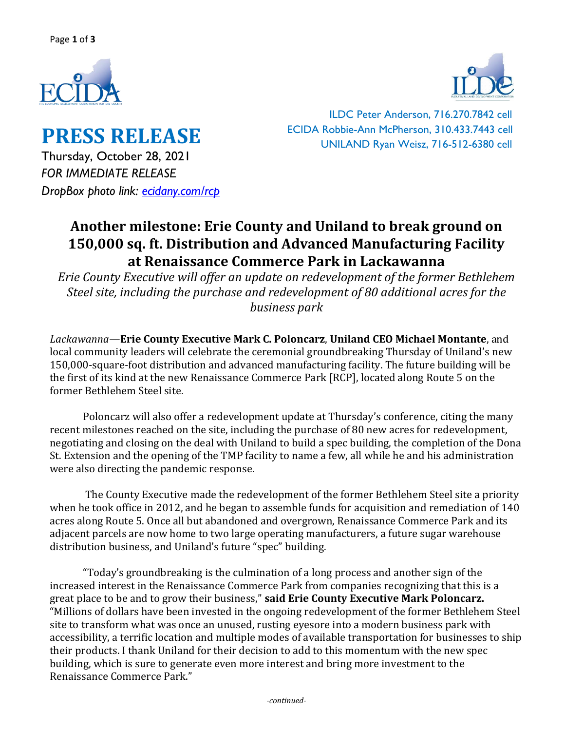



**PRESS RELEASE** Thursday, October 28, 2021 *FOR IMMEDIATE RELEASE DropBox photo link: [ecidany.com/rcp](https://www.dropbox.com/sh/srxmeqkv8ddgcvt/AABwXm1gJPRosZ_wxQJJsjiYa?dl=0)*

ILDC Peter Anderson, 716.270.7842 cell ECIDA Robbie-Ann McPherson, 310.433.7443 cell UNILAND Ryan Weisz, 716-512-6380 cell

## **Another milestone: Erie County and Uniland to break ground on 150,000 sq. ft. Distribution and Advanced Manufacturing Facility at Renaissance Commerce Park in Lackawanna**

*Erie County Executive will offer an update on redevelopment of the former Bethlehem Steel site, including the purchase and redevelopment of 80 additional acres for the business park* 

*Lackawanna*—**Erie County Executive Mark C. Poloncarz**, **Uniland CEO Michael Montante**, and local community leaders will celebrate the ceremonial groundbreaking Thursday of Uniland's new 150,000-square-foot distribution and advanced manufacturing facility. The future building will be the first of its kind at the new Renaissance Commerce Park [RCP], located along Route 5 on the former Bethlehem Steel site.

Poloncarz will also offer a redevelopment update at Thursday's conference, citing the many recent milestones reached on the site, including the purchase of 80 new acres for redevelopment, negotiating and closing on the deal with Uniland to build a spec building, the completion of the Dona St. Extension and the opening of the TMP facility to name a few, all while he and his administration were also directing the pandemic response.

The County Executive made the redevelopment of the former Bethlehem Steel site a priority when he took office in 2012, and he began to assemble funds for acquisition and remediation of 140 acres along Route 5. Once all but abandoned and overgrown, Renaissance Commerce Park and its adjacent parcels are now home to two large operating manufacturers, a future sugar warehouse distribution business, and Uniland's future "spec" building.

"Today's groundbreaking is the culmination of a long process and another sign of the increased interest in the Renaissance Commerce Park from companies recognizing that this is a great place to be and to grow their business," **said Erie County Executive Mark Poloncarz.** "Millions of dollars have been invested in the ongoing redevelopment of the former Bethlehem Steel site to transform what was once an unused, rusting eyesore into a modern business park with accessibility, a terrific location and multiple modes of available transportation for businesses to ship their products. I thank Uniland for their decision to add to this momentum with the new spec building, which is sure to generate even more interest and bring more investment to the Renaissance Commerce Park."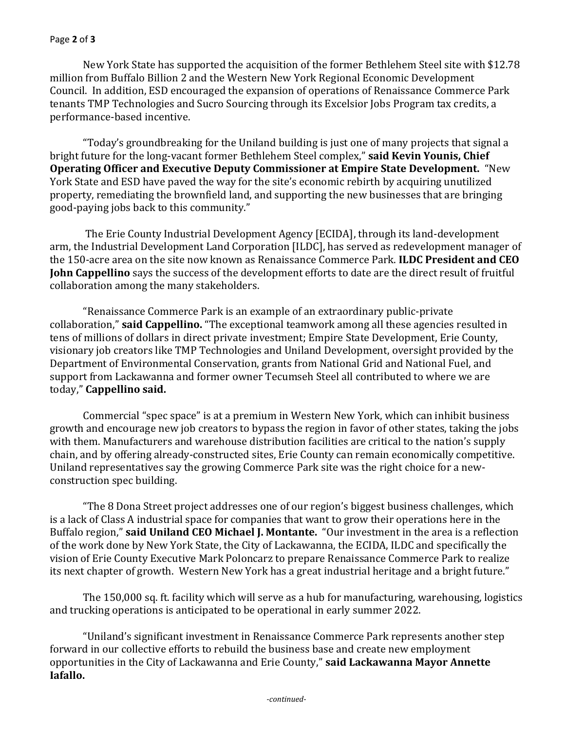## Page **2** of **3**

New York State has supported the acquisition of the former Bethlehem Steel site with \$12.78 million from Buffalo Billion 2 and the Western New York Regional Economic Development Council. In addition, ESD encouraged the expansion of operations of Renaissance Commerce Park tenants TMP Technologies and Sucro Sourcing through its Excelsior Jobs Program tax credits, a performance-based incentive.

"Today's groundbreaking for the Uniland building is just one of many projects that signal a bright future for the long-vacant former Bethlehem Steel complex," **said Kevin Younis, Chief Operating Officer and Executive Deputy Commissioner at Empire State Development.** "New York State and ESD have paved the way for the site's economic rebirth by acquiring unutilized property, remediating the brownfield land, and supporting the new businesses that are bringing good-paying jobs back to this community."

The Erie County Industrial Development Agency [ECIDA], through its land-development arm, the Industrial Development Land Corporation [ILDC], has served as redevelopment manager of the 150-acre area on the site now known as Renaissance Commerce Park. **ILDC President and CEO John Cappellino** says the success of the development efforts to date are the direct result of fruitful collaboration among the many stakeholders.

"Renaissance Commerce Park is an example of an extraordinary public-private collaboration," **said Cappellino.** "The exceptional teamwork among all these agencies resulted in tens of millions of dollars in direct private investment; Empire State Development, Erie County, visionary job creators like TMP Technologies and Uniland Development, oversight provided by the Department of Environmental Conservation, grants from National Grid and National Fuel, and support from Lackawanna and former owner Tecumseh Steel all contributed to where we are today," **Cappellino said.**

Commercial "spec space" is at a premium in Western New York, which can inhibit business growth and encourage new job creators to bypass the region in favor of other states, taking the jobs with them. Manufacturers and warehouse distribution facilities are critical to the nation's supply chain, and by offering already-constructed sites, Erie County can remain economically competitive. Uniland representatives say the growing Commerce Park site was the right choice for a newconstruction spec building.

"The 8 Dona Street project addresses one of our region's biggest business challenges, which is a lack of Class A industrial space for companies that want to grow their operations here in the Buffalo region," **said Uniland CEO Michael J. Montante.** "Our investment in the area is a reflection of the work done by New York State, the City of Lackawanna, the ECIDA, ILDC and specifically the vision of Erie County Executive Mark Poloncarz to prepare Renaissance Commerce Park to realize its next chapter of growth. Western New York has a great industrial heritage and a bright future."

The 150,000 sq. ft. facility which will serve as a hub for manufacturing, warehousing, logistics and trucking operations is anticipated to be operational in early summer 2022.

"Uniland's significant investment in Renaissance Commerce Park represents another step forward in our collective efforts to rebuild the business base and create new employment opportunities in the City of Lackawanna and Erie County," **said Lackawanna Mayor Annette Iafallo.**